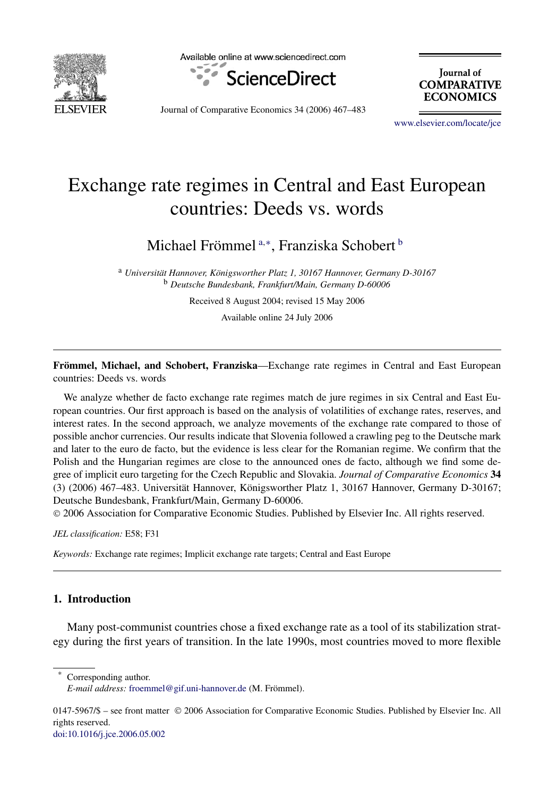

Available online at www.sciencedirect.com



**Tournal** of **COMPARATIVE ECONOMICS** 

Journal of Comparative Economics 34 (2006) 467–483

[www.elsevier.com/locate/jce](http://www.elsevier.com/locate/jce)

## Exchange rate regimes in Central and East European countries: Deeds vs. words

Michael Frömmel <sup>a</sup>*,*<sup>∗</sup> , Franziska Schobert <sup>b</sup>

<sup>a</sup> *Universität Hannover, Königsworther Platz 1, 30167 Hannover, Germany D-30167* <sup>b</sup> *Deutsche Bundesbank, Frankfurt/Main, Germany D-60006*

Received 8 August 2004; revised 15 May 2006

Available online 24 July 2006

**Frömmel, Michael, and Schobert, Franziska**—Exchange rate regimes in Central and East European countries: Deeds vs. words

We analyze whether de facto exchange rate regimes match de jure regimes in six Central and East European countries. Our first approach is based on the analysis of volatilities of exchange rates, reserves, and interest rates. In the second approach, we analyze movements of the exchange rate compared to those of possible anchor currencies. Our results indicate that Slovenia followed a crawling peg to the Deutsche mark and later to the euro de facto, but the evidence is less clear for the Romanian regime. We confirm that the Polish and the Hungarian regimes are close to the announced ones de facto, although we find some degree of implicit euro targeting for the Czech Republic and Slovakia. *Journal of Comparative Economics* **34** (3) (2006) 467–483. Universität Hannover, Königsworther Platz 1, 30167 Hannover, Germany D-30167; Deutsche Bundesbank, Frankfurt/Main, Germany D-60006.

© 2006 Association for Comparative Economic Studies. Published by Elsevier Inc. All rights reserved.

*JEL classification:* E58; F31

*Keywords:* Exchange rate regimes; Implicit exchange rate targets; Central and East Europe

## **1. Introduction**

Many post-communist countries chose a fixed exchange rate as a tool of its stabilization strategy during the first years of transition. In the late 1990s, most countries moved to more flexible

Corresponding author.

[doi:10.1016/j.jce.2006.05.002](http://dx.doi.org/10.1016/j.jce.2006.05.002)

*E-mail address:* [froemmel@gif.uni-hannover.de](mailto:froemmel@gif.uni-hannover.de) (M. Frömmel).

<sup>0147-5967/\$ –</sup> see front matter © 2006 Association for Comparative Economic Studies. Published by Elsevier Inc. All rights reserved.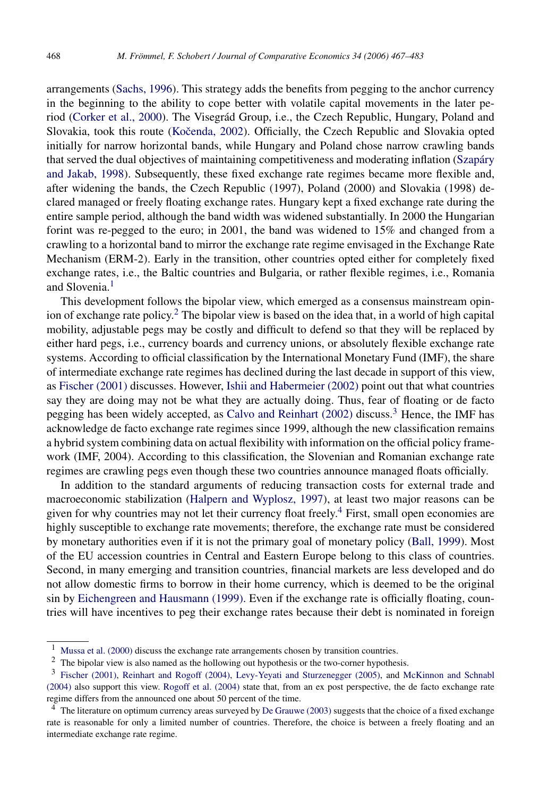arrangements [\(Sachs, 1996\)](#page--1-0). This strategy adds the benefits from pegging to the anchor currency in the beginning to the ability to cope better with volatile capital movements in the later period [\(Corker et al., 2000\)](#page--1-0). The Visegrád Group, i.e., the Czech Republic, Hungary, Poland and Slovakia, took this route (Kočenda, 2002). Officially, the Czech Republic and Slovakia opted initially for narrow horizontal bands, while Hungary and Poland chose narrow crawling bands that served the dual objectives of maintaining competitiveness and moderating inflation [\(Szapáry](#page--1-0) [and Jakab, 1998\)](#page--1-0). Subsequently, these fixed exchange rate regimes became more flexible and, after widening the bands, the Czech Republic (1997), Poland (2000) and Slovakia (1998) declared managed or freely floating exchange rates. Hungary kept a fixed exchange rate during the entire sample period, although the band width was widened substantially. In 2000 the Hungarian forint was re-pegged to the euro; in 2001, the band was widened to 15% and changed from a crawling to a horizontal band to mirror the exchange rate regime envisaged in the Exchange Rate Mechanism (ERM-2). Early in the transition, other countries opted either for completely fixed exchange rates, i.e., the Baltic countries and Bulgaria, or rather flexible regimes, i.e., Romania and Slovenia.<sup>1</sup>

This development follows the bipolar view, which emerged as a consensus mainstream opinion of exchange rate policy.<sup>2</sup> The bipolar view is based on the idea that, in a world of high capital mobility, adjustable pegs may be costly and difficult to defend so that they will be replaced by either hard pegs, i.e., currency boards and currency unions, or absolutely flexible exchange rate systems. According to official classification by the International Monetary Fund (IMF), the share of intermediate exchange rate regimes has declined during the last decade in support of this view, as [Fischer \(2001\)](#page--1-0) discusses. However, [Ishii and Habermeier \(2002\)](#page--1-0) point out that what countries say they are doing may not be what they are actually doing. Thus, fear of floating or de facto pegging has been widely accepted, as [Calvo and Reinhart \(2002\)](#page--1-0) discuss.3 Hence, the IMF has acknowledge de facto exchange rate regimes since 1999, although the new classification remains a hybrid system combining data on actual flexibility with information on the official policy framework (IMF, 2004). According to this classification, the Slovenian and Romanian exchange rate regimes are crawling pegs even though these two countries announce managed floats officially.

In addition to the standard arguments of reducing transaction costs for external trade and macroeconomic stabilization [\(Halpern and Wyplosz, 1997\)](#page--1-0), at least two major reasons can be given for why countries may not let their currency float freely.<sup>4</sup> First, small open economies are highly susceptible to exchange rate movements; therefore, the exchange rate must be considered by monetary authorities even if it is not the primary goal of monetary policy [\(Ball, 1999\)](#page--1-0). Most of the EU accession countries in Central and Eastern Europe belong to this class of countries. Second, in many emerging and transition countries, financial markets are less developed and do not allow domestic firms to borrow in their home currency, which is deemed to be the original sin by [Eichengreen and Hausmann \(1999\).](#page--1-0) Even if the exchange rate is officially floating, countries will have incentives to peg their exchange rates because their debt is nominated in foreign

<sup>1</sup> [Mussa et al. \(2000\)](#page--1-0) discuss the exchange rate arrangements chosen by transition countries.

<sup>2</sup> The bipolar view is also named as the hollowing out hypothesis or the two-corner hypothesis.

<sup>3</sup> [Fischer \(2001\),](#page--1-0) [Reinhart and Rogoff \(2004\),](#page--1-0) [Levy-Yeyati and Sturzenegger \(2005\),](#page--1-0) and [McKinnon and Schnabl](#page--1-0) [\(2004\)](#page--1-0) also support this view. [Rogoff et al. \(2004\)](#page--1-0) state that, from an ex post perspective, the de facto exchange rate regime differs from the announced one about 50 percent of the time.

<sup>4</sup> The literature on optimum currency areas surveyed by [De Grauwe \(2003\)](#page--1-0) suggests that the choice of a fixed exchange rate is reasonable for only a limited number of countries. Therefore, the choice is between a freely floating and an intermediate exchange rate regime.